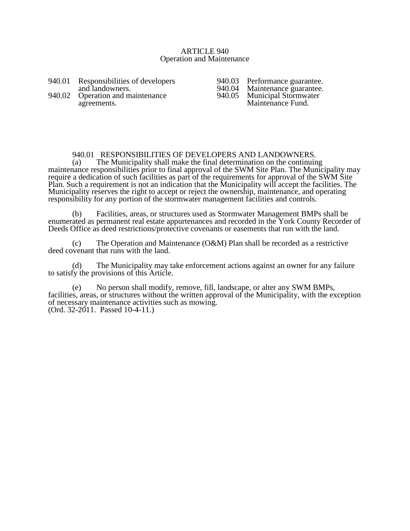#### ARTICLE 940 Operation and Maintenance

940.01 Responsibilities of developers and landowners. 940.02 Operation and maintenance

agreements.

940.03 Performance guarantee.<br>940.04 Maintenance guarantee. 940.04 Maintenance guarantee.<br>940.05 Municipal Stormwater Municipal Stormwater Maintenance Fund.

### 940.01 RESPONSIBILITIES OF DEVELOPERS AND LANDOWNERS.

(a) The Municipality shall make the final determination on the continuing maintenance responsibilities prior to final approval of the SWM Site Plan. The Municipality may require a dedication of such facilities as part of the requirements for approval of the SWM Site Plan. Such a requirement is not an indication that the Municipality will accept the facilities. The Municipality reserves the right to accept or reject the ownership, maintenance, and operating responsibility for any portion of the stormwater management facilities and controls.

(b) Facilities, areas, or structures used as Stormwater Management BMPs shall be enumerated as permanent real estate appurtenances and recorded in the York County Recorder of Deeds Office as deed restrictions/protective covenants or easements that run with the land.

(c) The Operation and Maintenance (O&M) Plan shall be recorded as a restrictive deed covenant that runs with the land.

(d) The Municipality may take enforcement actions against an owner for any failure to satisfy the provisions of this Article.

(e) No person shall modify, remove, fill, landscape, or alter any SWM BMPs, facilities, areas, or structures without the written approval of the Municipality, with the exception of necessary maintenance activities such as mowing. (Ord. 32-2011. Passed 10-4-11.)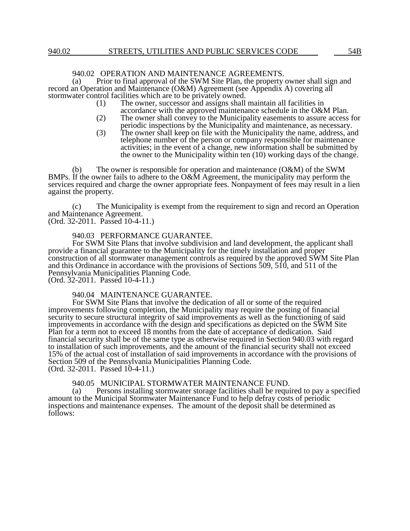# 940.02 OPERATION AND MAINTENANCE AGREEMENTS.<br>(a) Prior to final approval of the SWM Site Plan, the property

Prior to final approval of the SWM Site Plan, the property owner shall sign and record an Operation and Maintenance (O&M) Agreement (see Appendix A) covering all stormwater control facilities which are to be privately owned.<br>(1) The owner, successor and assigns shall

- The owner, successor and assigns shall maintain all facilities in
- accordance with the approved maintenance schedule in the O&M Plan. (2) The owner shall convey to the Municipality easements to assure access for
- periodic inspections by the Municipality and maintenance, as necessary.
- (3) The owner shall keep on file with the Municipality the name, address, and telephone number of the person or company responsible for maintenance activities; in the event of a change, new information shall be submitted by the owner to the Municipality within ten (10) working days of the change.

(b) The owner is responsible for operation and maintenance  $(O\&M)$  of the SWM BMPs. If the owner fails to adhere to the O&M Agreement, the municipality may perform the services required and charge the owner appropriate fees. Nonpayment of fees may result in a lien against the property.

(c) The Municipality is exempt from the requirement to sign and record an Operation and Maintenance Agreement.

(Ord. 32-2011. Passed 10-4-11.)

## 940.03 PERFORMANCE GUARANTEE.

For SWM Site Plans that involve subdivision and land development, the applicant shall provide a financial guarantee to the Municipality for the timely installation and proper construction of all stormwater management controls as required by the approved SWM Site Plan and this Ordinance in accordance with the provisions of Sections 509, 510, and 511 of the Pennsylvania Municipalities Planning Code.

(Ord. 32-2011. Passed 10-4-11.)

### 940.04 MAINTENANCE GUARANTEE.

For SWM Site Plans that involve the dedication of all or some of the required improvements following completion, the Municipality may require the posting of financial security to secure structural integrity of said improvements as well as the functioning of said improvements in accordance with the design and specifications as depicted on the SWM Site Plan for a term not to exceed 18 months from the date of acceptance of dedication. Said financial security shall be of the same type as otherwise required in Section 940.03 with regard to installation of such improvements, and the amount of the financial security shall not exceed 15% of the actual cost of installation of said improvements in accordance with the provisions of Section 509 of the Pennsylvania Municipalities Planning Code. (Ord. 32-2011. Passed 10-4-11.)

## 940.05 MUNICIPAL STORMWATER MAINTENANCE FUND.

(a) Persons installing stormwater storage facilities shall be required to pay a specified amount to the Municipal Stormwater Maintenance Fund to help defray costs of periodic inspections and maintenance expenses. The amount of the deposit shall be determined as follows: